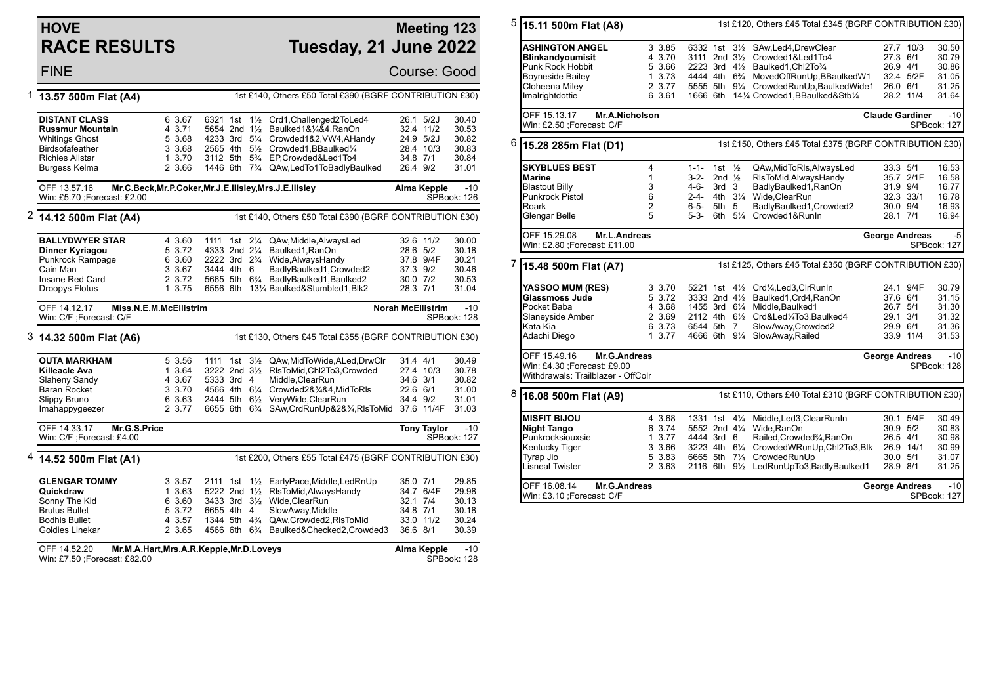## **HOVE RACE RESULTS**

Win: £5.70 ;Forecast: £2.00

## **Meeting 123 Tuesday, 21 June 2022**

FINE Course: Good 1 **13.57 500m Flat (A4)** 1st £140, Others £50 Total £390 (BGRF CONTRIBUTION £30) **DISTANT CLASS** 6 3.67 6321 1st 1<sup>1</sup>/<sub>2</sub> Crd1,Challenged2ToLed4 26.1 5/2J 30.40<br>**Russmur Mountain** 4 3.71 5654 2nd 1<sup>1</sup>/<sub>2</sub> Baulked1&1%&4.RanOn 32.4 11/2 30.53 **Russmur Mountain** 4 3.71 5654 2nd 1<sup>1</sup>/<sub>2</sub> Baulked1&¼&4,RanOn 32.4 11/2 30.53<br>Whitings Ghost 5 3.68 4233 3rd 5¼ Crowded1&2.VW4.AHandy 24.9 5/2J 30.82 Whitings Ghost 5 3.68 4233 3rd 5<sup>1</sup>/<sub>2</sub> Crowded 1&2, VW4, AHandy 24.9 5/2J 30.82<br>Birdsofafeather 3 3.68 2565 4th 5<sup>1</sup>/<sub>2</sub> Crowded 1. BBaulked<sup>1</sup>/<sub>4</sub> 28.4 10/3 30.83 Birdsofafeather 3 3.68 2565 4th 5½ Crowded1, BBaulked¼<br>Richies Allstar 1 3.70 3112 5th 5¾ EPCrowded&Led1To4 Richies Allstar 1 3.70 3112 5th 5<sup>3</sup>/<sub>4</sub> EP,Crowded&Led1To4 34.8 7/1 30.84<br>Burgess Kelma 2 3.66 1446 6th 7<sup>3</sup>/<sub>4</sub> QAw,LedTo1ToBadlyBaulked 26.4 9/2 31.01 2 3.66 1446 6th 7<sup>3</sup>/<sub>4</sub> QAw,LedTo1ToBadlyBaulked OFF 13.57.16 **Mr.C.Beck,Mr.P.Coker,Mr.J.E.Illsley,Mrs.J.E.Illsley Alma Keppie** -10 SPBook: 126 2 **14.12 500m Flat (A4)** 1st £140, Others £50 Total £390 (BGRF CONTRIBUTION £30) **BALLYDWYER STAR** 4 3.60 1111 1st 2<sup>1</sup>/<sub>4</sub> QAw,Middle,AlwaysLed 32.6 11/2 30.00<br>**Dinner Kyriagou** 5 3.72 4333 2nd 2<sup>1</sup>/<sub>4</sub> Baulked1.RanOn 28.6 5/2 30.18 **Dinner Kyriagou** 5 3.72 4333 2nd 2¼ Baulked1,RanOn 28.6 5/2 30.18<br>Punkrock Rampage 6 3.60 2222 3rd 2¾ Wide,AlwaysHandy 37.8 9/4F 30.21

8 3.60 2222 3rd 2¾ Wide,AlwaysHandy 37.8 9/41<br>3 3.67 3444 4th 6 BadlyBaulked1 Crowded2 37.3 9/2 Cain Man 3 3.67 3444 4th 6 BadlyBaulked1,Crowded2 37.3 9/2 30.46 Insane Red Card 2 3.72 5665 5th 6<sup>3</sup>/<sub>4</sub> BadlyBaulked1,Baulked2 30.0 7/2 30.53<br>Droopys Flotus 1 3.75 6556 6th 13<sup>1</sup>/<sub>4</sub> Baulked&Stumbled1,Blk2 28.3 7/1 31.04 6556 6th 131/4 Baulked&Stumbled1,Blk2 OFF 14.12.17 **Miss.N.E.M.McEllistrim** Win: C/F ;Forecast: C/F **Norah McEllistrim** -10 SPBook: 128 3 **14.32 500m Flat (A6)** 1st £130, Others £45 Total £355 (BGRF CONTRIBUTION £30) **OUTA MARKHAM** 5 3.56 1111 1st 31/<sub>2</sub> QAw,MidToWide,ALed,DrwClr 31.4 4/1 30.49<br> **Killeacle Ava** 1 3.64 3222 2nd 31/<sub>2</sub> RIsToMid.Chl2To3.Crowded 27.4 10/3 30.78 **Killeacle Ava** 1 3.64 3222 2nd 3<sup>1</sup>/<sub>2</sub> RIsToMid,Chl2To3,Crowded 27.4 10/3 30.78<br>Slaheny Sandy 1 3.67 5333 3rd 4 Middle,ClearRun 34.6 3/1 30.82 Slaheny Sandy 4 3.67 5333 3rd 4 Middle,ClearRun 34.6 3/1 30.82 Baran Rocket 3 3.70 4566 4th 6¼ Crowded2&¾&4,MidToRls 22.6 6/1 31.00 Slippy Bruno 6 3.63 2444 5th 6½ VeryWide,ClearRun 34.4 9/2 31.01 Imahappygeezer 2 3.77 6655 6th 6<sup>3</sup>/<sub>4</sub> SAw,CrdRunUp&2&<sup>3</sup>/<sub>4</sub>,RlsToMid 37.6 11/4F OFF 14.33.17 **Mr.G.S.Price** Win: C/F ;Forecast: £4.00 **Tony Taylor** -10 SPBook: 127 4 **14.52 500m Flat (A1)** 1st £200, Others £55 Total £475 (BGRF CONTRIBUTION £30) **GLENGAR TOMMY** 3 3.57 2111 1st 1<sup>1</sup>/<sub>2</sub> EarlyPace,Middle,LedRnUp 35.0 7/1 29.85<br> **Quickdraw** 34.7 6/4F 29.98 **Quickdraw 1 3.63 5222 2nd 1½ RlsToMid,AlwaysHandy 34.7 6/4F 29.98**<br>Sonny The Kid 35 6 360 3433 3rd 31% Wide ClearRun 32.1 714 30.13  $3433$  3rd  $3\frac{1}{2}$  Wide ClearRun

| Win: £7.50 : Forecast: £82.00 |                                                           |  |        |  |  |  |                                                                  |                                           |             | SPBook: 128 |
|-------------------------------|-----------------------------------------------------------|--|--------|--|--|--|------------------------------------------------------------------|-------------------------------------------|-------------|-------------|
|                               | Mr.M.A.Hart, Mrs.A.R.Keppie, Mr.D.Loveys<br>IOFF 14.52.20 |  |        |  |  |  |                                                                  |                                           | Alma Keppie | $-10$       |
|                               | <b>Goldies Linekar</b>                                    |  | 2 3.65 |  |  |  | 4566 6th 6 <sup>3</sup> / <sub>4</sub> Baulked&Checked2.Crowded3 | 36.6 8/1                                  |             | 30.39       |
|                               | <b>Bodhis Bullet</b>                                      |  | 4 3.57 |  |  |  | 1344 5th 4 <sup>3</sup> / <sub>4</sub> QAw.Crowded2.RIsToMid     |                                           | 33.0 11/2   | 30.24       |
|                               | <b>Brutus Bullet</b>                                      |  | 5 3.72 |  |  |  | 6655 4th 4 SlowAway, Middle                                      | 34.8 7/1                                  |             | 30.18       |
|                               | ו טוויז וויסטן                                            |  | .      |  |  |  | U JUU UIU U/L IIIUU.UIUUIIIUII                                   | $\sim$ $\sim$ $\sim$ $\sim$ $\sim$ $\sim$ |             | .           |

5 **15.11 500m Flat (A8)** 1st £120, Others £45 Total £345 (BGRF CONTRIBUTION £30) **ASHINGTON ANGEL** 3 3.85 6332 1st 3<sup>1</sup>/<sub>2</sub> SAw, Led4, DrewClear 27.7 10/3 30.50<br> **Blinkandyoumisit** 4 3.70 3111 2nd 3<sup>1</sup>/<sub>2</sub> Crowded1&Led1To4 27.3 6/1 30.79 **Blinkandyoumisit** 4 3.70 3111 2nd 3½ Crowded1&Led1To4 27.3 6/1<br>Punk Rock Hobbit 5 3.66 2223 3rd 4½ Baulked1.Chl2To¾ 26.9 4/1 Punk Rock Hobbit 5 3.66 2223 3rd 4½ Baulked1,Chl2To¾ 26.9 4/1 30.86 Boyneside Bailey 1 3.73 4444 4th 6¾ MovedOffRunUp,BBaulkedW1 32.4 5/2F 31.05 Cloheena Miley 2 3.77 5555 5th 91/4 CrowdedRunUp, BaulkedWide1 26.0 6/1<br>2 3.61 1666 6th 141/4 Crowded1, BBaulked&Stb1/4 28.2 11/4 Imalrightdottie 6 3.61 1666 6th 14¼ Crowded1,BBaulked&Stb¼ 28.2 11/4 31.64 OFF 15.13.17 **Mr.A.Nicholson** Win: £2.50 :Forecast: C/F **Claude Gardiner** -10 SPBook: 127 6 **15.28 285m Flat (D1)** 1st £150, Others £45 Total £375 (BGRF CONTRIBUTION £30) **SKYBLUES BEST** 4 1-1- 1st ½ QAw,MidToRls,AlwaysLed 33.3 5/1 16.53<br>**Marine** 1 3-2- 2nd ½ RIsToMid,AlwaysHandy 35.7 2/1F 16.58 **Marine** 1 3-2- 2nd ½ RlsToMid,AlwaysHandy 35.7 2/1F 16.58 Blastout Billy 3 4-6- 3rd 3 BadlyBaulked1,RanOn 31.9 9/4 16.77 Punkrock Pistol 6 2-4- 4th 3¼ Wide,ClearRun 32.3 33/1 16.78 Roark 2 6-5- 5th 5 BadlyBaulked1,Crowded2 30.0 9/4 16.93 5-3- 6th 5<sup>1</sup>/<sub>4</sub> Crowded1&RunIn 28.1 7/1 16.94 OFF 15.29.08 **Mr.L.Andreas** Win: £2.80 ;Forecast: £11.00 **George Andreas** -5 SPBook: 127 7 **15.48 500m Flat (A7)** 1st £125, Others £45 Total £350 (BGRF CONTRIBUTION £30) **YASSOO MUM (RES)** 3 3.70 5221 1st 4<sup>1</sup>/<sub>2</sub> Crd<sup>1</sup>/<sub>4</sub>,Led3,ClrRunIn 24.1 9/4F 30.79<br> **Glassmoss Jude** 5 3.72 3333 2nd 4<sup>1</sup>/<sub>2</sub> Baulked1.Crd4.RanOn 37.6 6/1 31.15 **Glassmoss Jude** 5 3.72 3333 2nd 41/<sub>2</sub> Baulked1, Crd4, RanOn 37.68 1455 3rd 61/<sub>4</sub> Middle Baulked1 Pocket Baba 4 3.68 1455 3rd 6¼ Middle,Baulked1 26.7 5/1 31.30 Slaneyside Amber 2 3.69 2112 4th 6½ Crd&Led¼To3,Baulked4 29.1 3/1 31.32 Kata Kia 6 3.73 6544 5th 7 SlowAway,Crowded2 29.9 6/1 31.36 1 3.77 4666 6th 91/4 SlowAway, Railed OFF 15.49.16 **Mr.G.Andreas** Win: £4.30 ;Forecast: £9.00 Withdrawals: Trailblazer - OffColr **George Andreas** -10 SPBook: 128 8 **16.08 500m Flat (A9)** 1st £110, Others £40 Total £310 (BGRF CONTRIBUTION £30) **MISFIT BIJOU** 4 3.68 1331 1st 4¼ Middle,Led3,ClearRunIn 30.1 5/4F 30.49 **Night Tango** 6 3.74 5552 2nd 4¼ Wide,RanOn 30.9 5/2 30.83 Punkrocksiouxsie 1 3.77 4444 3rd 6 Railed,Crowded¾,RanOn 26.5 4/1 30.98 Kentucky Tiger 3 3.66 3223 4th 61/4 CrowdedWRunUp, Chl2To3, Blk 26.9 14/1 <br>Tyrap Jio 30.0 5/1 5 3.83 6665 5th 71/4 CrowdedRunUp 30.0 5/1 Tyrap Jio 5 3.83 6665 5th 7¼ CrowdedRunUp 30.0 5/1 31.07 2 3.63 2116 6th 91/<sub>2</sub> LedRunUpTo3,BadlyBaulked1 28.9 8/1 31.25 OFF 16.08.14 **Mr.G.Andreas** Win: £3.10 ;Forecast: C/F **George Andreas** -10 SPBook: 127